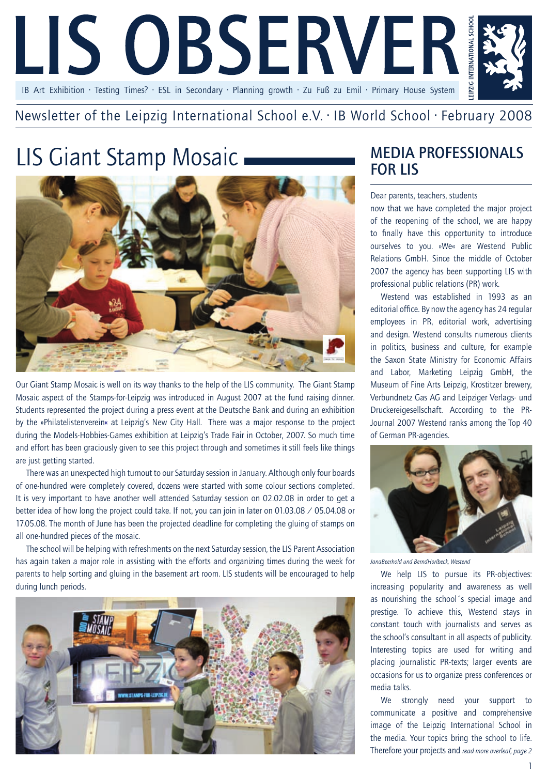

### Newsletter of the Leipzig International School e.V. · IB World School · February 2008

# LIS Giant Stamp Mosaic MEDIA PROFESSIONALS



Our Giant Stamp Mosaic is well on its way thanks to the help of the LIS community. The Giant Stamp Mosaic aspect of the Stamps-for-Leipzig was introduced in August 2007 at the fund raising dinner. Students represented the project during a press event at the Deutsche Bank and during an exhibition by the »Philatelistenverein« at Leipzig's New City Hall. There was a major response to the project during the Models-Hobbies-Games exhibition at Leipzig's Trade Fair in October, 2007. So much time and effort has been graciously given to see this project through and sometimes it still feels like things are just getting started.

There was an unexpected high turnout to our Saturday session in January. Although only four boards of one-hundred were completely covered, dozens were started with some colour sections completed. It is very important to have another well attended Saturday session on 02.02.08 in order to get a better idea of how long the project could take. If not, you can join in later on 01.03.08 / 05.04.08 or 17.05.08. The month of June has been the projected deadline for completing the gluing of stamps on all one-hundred pieces of the mosaic.

The school will be helping with refreshments on the next Saturday session, the LIS Parent Association has again taken a major role in assisting with the efforts and organizing times during the week for parents to help sorting and gluing in the basement art room. LIS students will be encouraged to help during lunch periods.



# for LIS

### Dear parents, teachers, students

now that we have completed the major project of the reopening of the school, we are happy to finally have this opportunity to introduce ourselves to you. »We« are Westend Public Relations GmbH. Since the middle of October 2007 the agency has been supporting LIS with professional public relations (PR) work.

Westend was established in 1993 as an editorial office. By now the agency has 24 regular employees in PR, editorial work, advertising and design. Westend consults numerous clients in politics, business and culture, for example the Saxon State Ministry for Economic Affairs and Labor, Marketing Leipzig GmbH, the Museum of Fine Arts Leipzig, Krostitzer brewery, Verbundnetz Gas AG and Leipziger Verlags- und Druckereigesellschaft. According to the PR-Journal 2007 Westend ranks among the Top 40 of German PR-agencies.



*JanaBeerhold und BerndHorlbeck, Westend*

We help LIS to pursue its PR-objectives: increasing popularity and awareness as well as nourishing the school´s special image and prestige. To achieve this, Westend stays in constant touch with journalists and serves as the school's consultant in all aspects of publicity. Interesting topics are used for writing and placing journalistic PR-texts; larger events are occasions for us to organize press conferences or media talks.

We strongly need your support to communicate a positive and comprehensive image of the Leipzig International School in the media. Your topics bring the school to life. Therefore your projects and *read more overleaf, page 2*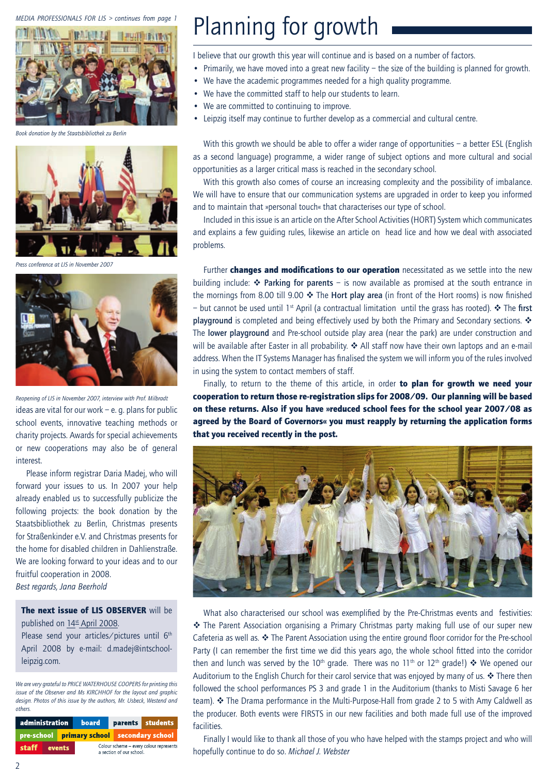### *MEDIA PROFESSIONALS FOR LIS > continues from page 1*



*Book donation by the Staatsbibliothek zu Berlin*



*Press conference at LIS in November 2007*



ideas are vital for our work  $-$  e. g. plans for public school events, innovative teaching methods or charity projects. Awards for special achievements or new cooperations may also be of general interest. *Reopening of LIS in November 2007, interview with Prof. Milbradt*

Please inform registrar Daria Madej, who will forward your issues to us. In 2007 your help already enabled us to successfully publicize the following projects: the book donation by the Staatsbibliothek zu Berlin, Christmas presents for Straßenkinder e.V. and Christmas presents for the home for disabled children in Dahlienstraße. We are looking forward to your ideas and to our fruitful cooperation in 2008. *Best regards, Jana Beerhold*

The next issue of LIS OBSERVER will be

published on 14<sup>st</sup> April 2008. Please send your articles/pictures until 6<sup>th</sup>

April 2008 by e-mail: d.madej@intschoolleipzig.com.

*We are very grateful to PRICE WATERHOUSE COOPERS for printing this issue of the Observer and Ms KIRCHHOF for the layout and graphic design. Photos of this issue by the authors, Mr. Usbeck, Westend and others.*

| administration |  |  | board                                                               | parents students |                                                   |  |
|----------------|--|--|---------------------------------------------------------------------|------------------|---------------------------------------------------|--|
|                |  |  |                                                                     |                  | <b>pre-school</b> primary school secondary school |  |
| staff events   |  |  | Colour scheme - every colour represents<br>a section of our school. |                  |                                                   |  |

## Planning for growth

I believe that our growth this year will continue and is based on a number of factors.

- Primarily, we have moved into a great new facility the size of the building is planned for growth.
- We have the academic programmes needed for a high quality programme.
	- We have the committed staff to help our students to learn.
	- We are committed to continuing to improve.
	- Leipzig itself may continue to further develop as a commercial and cultural centre.

With this growth we should be able to offer a wider range of opportunities – a better ESL (English as a second language) programme, a wider range of subject options and more cultural and social opportunities as a larger critical mass is reached in the secondary school.

With this growth also comes of course an increasing complexity and the possibility of imbalance. We will have to ensure that our communication systems are upgraded in order to keep you informed and to maintain that »personal touch« that characterises our type of school.

Included in this issue is an article on the After School Activities (HORT) System which communicates and explains a few guiding rules, likewise an article on head lice and how we deal with associated problems.

Further **changes and modifications to our operation** necessitated as we settle into the new building include:  $\triangleleft$  Parking for parents – is now available as promised at the south entrance in the mornings from 8.00 till 9.00  $\cdot \cdot$  The Hort play area (in front of the Hort rooms) is now finished – but cannot be used until 1<sup>st</sup> April (a contractual limitation until the grass has rooted).  $\cdot$  The first playground is completed and being effectively used by both the Primary and Secondary sections.  $\cdot$ The lower playground and Pre-school outside play area (near the park) are under construction and will be available after Easter in all probability.  $\clubsuit$  All staff now have their own laptops and an e-mail address. When the IT Systems Manager has finalised the system we will inform you of the rules involved in using the system to contact members of staff.

Finally, to return to the theme of this article, in order to plan for growth we need your cooperation to return those re-registration slips for 2008/09. Our planning will be based on these returns. Also if you have »reduced school fees for the school year 2007/08 as agreed by the Board of Governors« you must reapply by returning the application forms that you received recently in the post.



What also characterised our school was exemplified by the Pre-Christmas events and festivities: \* The Parent Association organising a Primary Christmas party making full use of our super new Cafeteria as well as.  $\clubsuit$  The Parent Association using the entire ground floor corridor for the Pre-school Party (I can remember the first time we did this years ago, the whole school fitted into the corridor then and lunch was served by the 10<sup>th</sup> grade. There was no 11<sup>th</sup> or 12<sup>th</sup> grade!) \* We opened our Auditorium to the English Church for their carol service that was enjoyed by many of us.  $\cdot$  There then followed the school performances PS 3 and grade 1 in the Auditorium (thanks to Misti Savage 6 her team).  $\cdot \cdot$  The Drama performance in the Multi-Purpose-Hall from grade 2 to 5 with Amy Caldwell as the producer. Both events were FIRSTS in our new facilities and both made full use of the improved facilities.

Finally I would like to thank all those of you who have helped with the stamps project and who will hopefully continue to do so. *Michael J. Webster*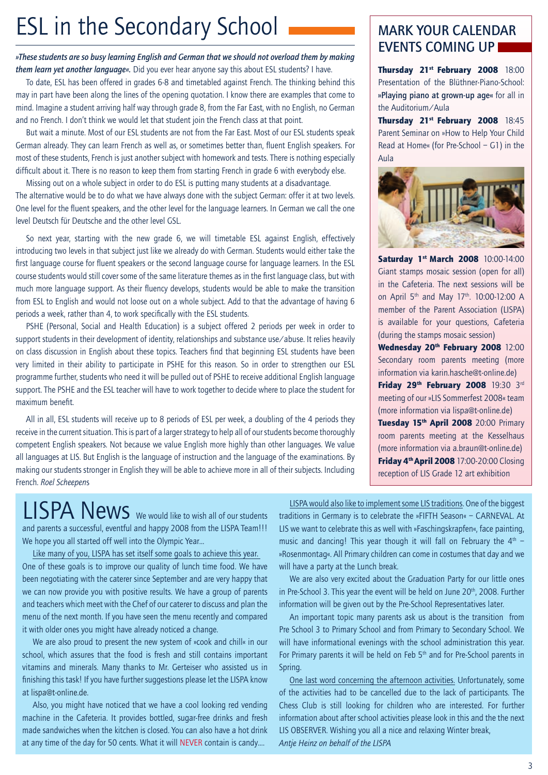# ESL in the Secondary School MARK YOUR CALENDAR

*»These students are so busy learning English and German that we should not overload them by making them learn yet another language«.* Did you ever hear anyone say this about ESL students? I have.

To date, ESL has been offered in grades 6-8 and timetabled against French. The thinking behind this may in part have been along the lines of the opening quotation. I know there are examples that come to mind. Imagine a student arriving half way through grade 8, from the Far East, with no English, no German and no French. I don't think we would let that student join the French class at that point.

But wait a minute. Most of our ESL students are not from the Far East. Most of our ESL students speak German already. They can learn French as well as, or sometimes better than, fluent English speakers. For most of these students, French is just another subject with homework and tests. There is nothing especially difficult about it. There is no reason to keep them from starting French in grade 6 with everybody else.

Missing out on a whole subject in order to do ESL is putting many students at a disadvantage. The alternative would be to do what we have always done with the subject German: offer it at two levels. One level for the fluent speakers, and the other level for the language learners. In German we call the one level Deutsch für Deutsche and the other level GSL.

So next year, starting with the new grade 6, we will timetable ESL against English, effectively introducing two levels in that subject just like we already do with German. Students would either take the first language course for fluent speakers or the second language course for language learners. In the ESL course students would still cover some of the same literature themes as in the first language class, but with much more language support. As their fluency develops, students would be able to make the transition from ESL to English and would not loose out on a whole subject. Add to that the advantage of having 6 periods a week, rather than 4, to work specifically with the ESL students.

PSHE (Personal, Social and Health Education) is a subject offered 2 periods per week in order to support students in their development of identity, relationships and substance use/abuse. It relies heavily on class discussion in English about these topics. Teachers find that beginning ESL students have been very limited in their ability to participate in PSHE for this reason. So in order to strengthen our ESL programme further, students who need it will be pulled out of PSHE to receive additional English language support. The PSHE and the ESL teacher will have to work together to decide where to place the student for maximum benefit.

All in all, ESL students will receive up to 8 periods of ESL per week, a doubling of the 4 periods they receive in the current situation. This is part of a larger strategy to help all of our students become thoroughly competent English speakers. Not because we value English more highly than other languages. We value all languages at LIS. But English is the language of instruction and the language of the examinations. By making our students stronger in English they will be able to achieve more in all of their subjects. Including French. *Roel Scheepen*s

# EVENTS COMING UP

Thursday 21<sup>st</sup> February 2008 18:00 Presentation of the Blüthner-Piano-School: »Playing piano at grown-up age« for all in the Auditorium/Aula

Thursday 21<sup>st</sup> February 2008 18:45 Parent Seminar on »How to Help Your Child Read at Home« (for Pre-School – G1) in the Aula



**Saturday 1st March 2008** 10:00-14:00 Giant stamps mosaic session (open for all) in the Cafeteria. The next sessions will be on April 5<sup>th</sup> and May 17<sup>th</sup>. 10:00-12:00 A member of the Parent Association (LISPA) is available for your questions, Cafeteria (during the stamps mosaic session)

Wednesday 20<sup>th</sup> February 2008 12:00 Secondary room parents meeting (more information via karin.hasche@t-online.de) Friday 29<sup>th</sup> February 2008 19:30 3rd meeting of our »LIS Sommerfest 2008« team (more information via lispa@t-online.de)

Tuesday 15<sup>th</sup> April 2008 20:00 Primary room parents meeting at the Kesselhaus (more information via a.braun@t-online.de) **Friday 4<sup>th</sup> April 2008** 17:00-20:00 Closing reception of LIS Grade 12 art exhibition

LISPA News We would like to wish all of our students and parents a successful, eventful and happy 2008 from the LISPA Team!!! We hope you all started off well into the Olympic Year…

Like many of you, LISPA has set itself some goals to achieve this year. One of these goals is to improve our quality of lunch time food. We have been negotiating with the caterer since September and are very happy that we can now provide you with positive results. We have a group of parents and teachers which meet with the Chef of our caterer to discuss and plan the menu of the next month. If you have seen the menu recently and compared it with older ones you might have already noticed a change.

We are also proud to present the new system of »cook and chill« in our school, which assures that the food is fresh and still contains important vitamins and minerals. Many thanks to Mr. Gerteiser who assisted us in finishing this task! If you have further suggestions please let the LISPA know at lispa@t-online.de.

Also, you might have noticed that we have a cool looking red vending machine in the Cafeteria. It provides bottled, sugar-free drinks and fresh made sandwiches when the kitchen is closed. You can also have a hot drink at any time of the day for 50 cents. What it will NEVER contain is candy….

LISPA would also like to implement some LIS traditions. One of the biggest traditions in Germany is to celebrate the »FIFTH Season« – CARNEVAL. At LIS we want to celebrate this as well with »Faschingskrapfen«, face painting, music and dancing! This year though it will fall on February the  $4<sup>th</sup>$  -»Rosenmontag«. All Primary children can come in costumes that day and we will have a party at the Lunch break.

We are also very excited about the Graduation Party for our little ones in Pre-School 3. This year the event will be held on June 20<sup>th</sup>, 2008. Further information will be given out by the Pre-School Representatives later.

An important topic many parents ask us about is the transition from Pre School 3 to Primary School and from Primary to Secondary School. We will have informational evenings with the school administration this year. For Primary parents it will be held on Feb 5<sup>th</sup> and for Pre-School parents in Spring.

One last word concerning the afternoon activities. Unfortunately, some of the activities had to be cancelled due to the lack of participants. The Chess Club is still looking for children who are interested. For further information about after school activities please look in this and the the next LIS OBSERVER. Wishing you all a nice and relaxing Winter break, *Antje Heinz on behalf of the LISPA*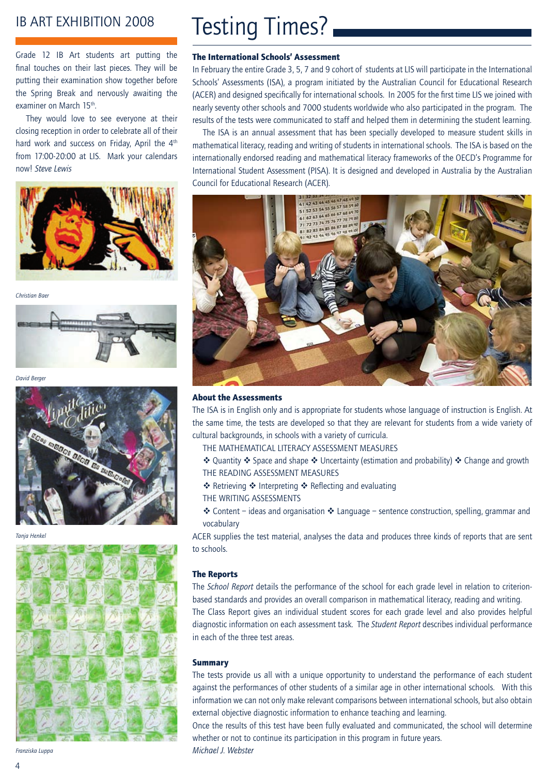### IB ART EXHIBITION 2008

Grade 12 IB Art students art putting the final touches on their last pieces. They will be putting their examination show together before the Spring Break and nervously awaiting the examiner on March 15<sup>th</sup>.

They would love to see everyone at their closing reception in order to celebrate all of their hard work and success on Friday, April the 4<sup>th</sup> from 17:00-20:00 at LIS. Mark your calendars now! *Steve Lewis*



*Christian Baer*



David Berger



*Tanja Henkel*



*Franziska Luppa*

# Testing Times?

### The International Schools' Assessment

In February the entire Grade 3, 5, 7 and 9 cohort of students at LIS will participate in the International Schools' Assessments (ISA), a program initiated by the Australian Council for Educational Research (ACER) and designed specifically for international schools. In 2005 for the first time LIS we joined with nearly seventy other schools and 7000 students worldwide who also participated in the program. The results of the tests were communicated to staff and helped them in determining the student learning.

The ISA is an annual assessment that has been specially developed to measure student skills in mathematical literacy, reading and writing of students in international schools. The ISA is based on the internationally endorsed reading and mathematical literacy frameworks of the OECD's Programme for International Student Assessment (PISA). It is designed and developed in Australia by the Australian Council for Educational Research (ACER).



#### About the Assessments

The ISA is in English only and is appropriate for students whose language of instruction is English. At the same time, the tests are developed so that they are relevant for students from a wide variety of cultural backgrounds, in schools with a variety of curricula.

- The mathematical literacy assessment measures
- $\cdot$  Quantity  $\cdot$  Space and shape  $\cdot$  Uncertainty (estimation and probability)  $\cdot$  Change and growth The reading assessment measures
- ❖ Retrieving ❖ Interpreting ❖ Reflecting and evaluating
- THE WRITING ASSESSMENTS
- $\cdot$  Content ideas and organisation  $\cdot$  Language sentence construction, spelling, grammar and vocabulary

ACER supplies the test material, analyses the data and produces three kinds of reports that are sent to schools.

#### The Reports

The *School Report* details the performance of the school for each grade level in relation to criterionbased standards and provides an overall comparison in mathematical literacy, reading and writing. The Class Report gives an individual student scores for each grade level and also provides helpful diagnostic information on each assessment task. The *Student Report* describes individual performance in each of the three test areas.

#### **Summary**

The tests provide us all with a unique opportunity to understand the performance of each student against the performances of other students of a similar age in other international schools. With this information we can not only make relevant comparisons between international schools, but also obtain external objective diagnostic information to enhance teaching and learning.

Once the results of this test have been fully evaluated and communicated, the school will determine whether or not to continue its participation in this program in future years. *Michael J. Webster*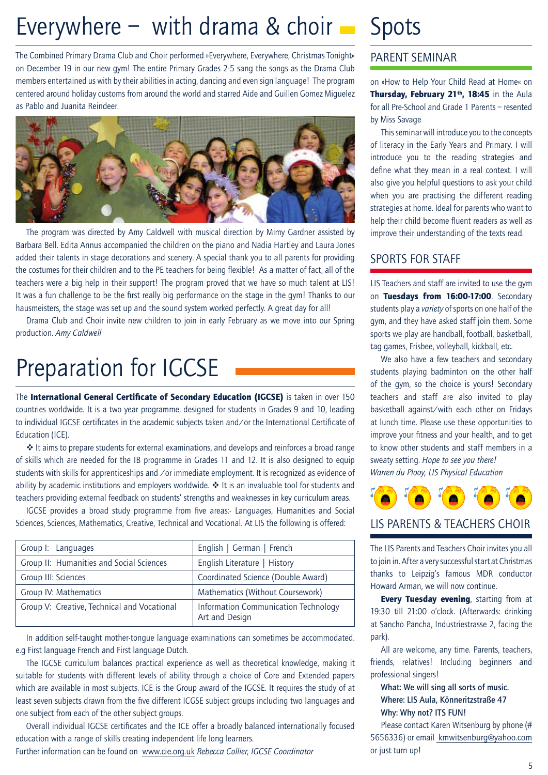# Everywhere  $-$  with drama & choir  $-$  Spots

The Combined Primary Drama Club and Choir performed »Everywhere, Everywhere, Christmas Tonight« on December 19 in our new gym! The entire Primary Grades 2-5 sang the songs as the Drama Club members entertained us with by their abilities in acting, dancing and even sign language! The program centered around holiday customs from around the world and starred Aide and Guillen Gomez Miguelez as Pablo and Juanita Reindeer.



The program was directed by Amy Caldwell with musical direction by Mimy Gardner assisted by Barbara Bell. Edita Annus accompanied the children on the piano and Nadia Hartley and Laura Jones added their talents in stage decorations and scenery. A special thank you to all parents for providing the costumes for their children and to the PE teachers for being flexible! As a matter of fact, all of the teachers were a big help in their support! The program proved that we have so much talent at LIS! It was a fun challenge to be the first really big performance on the stage in the gym! Thanks to our hausmeisters, the stage was set up and the sound system worked perfectly. A great day for all!

Drama Club and Choir invite new children to join in early February as we move into our Spring production. *Amy Caldwell*

# Preparation for IGCSE

The International General Certificate of Secondary Education (IGCSE) is taken in over 150 countries worldwide. It is a two year programme, designed for students in Grades 9 and 10, leading to individual IGCSE certificates in the academic subjects taken and/or the International Certificate of Education (ICE).

 $\triangleq$  It aims to prepare students for external examinations, and develops and reinforces a broad range of skills which are needed for the IB programme in Grades 11 and 12. It is also designed to equip students with skills for apprenticeships and /or immediate employment. It is recognized as evidence of ability by academic institutions and employers worldwide.  $\cdot \cdot$  It is an invaluable tool for students and teachers providing external feedback on students' strengths and weaknesses in key curriculum areas.

IGCSE provides a broad study programme from five areas:- Languages, Humanities and Social Sciences, Sciences, Mathematics, Creative, Technical and Vocational. At LIS the following is offered:

| Group I: Languages                          | English   German   French                              |  |  |
|---------------------------------------------|--------------------------------------------------------|--|--|
| Group II: Humanities and Social Sciences    | English Literature   History                           |  |  |
| Group III: Sciences                         | Coordinated Science (Double Award)                     |  |  |
| Group IV: Mathematics                       | Mathematics (Without Coursework)                       |  |  |
| Group V: Creative, Technical and Vocational | Information Communication Technology<br>Art and Design |  |  |

In addition self-taught mother-tongue language examinations can sometimes be accommodated. e.g First language French and First language Dutch.

The IGCSE curriculum balances practical experience as well as theoretical knowledge, making it suitable for students with different levels of ability through a choice of Core and Extended papers which are available in most subjects. ICE is the Group award of the IGCSE. It requires the study of at least seven subjects drawn from the five different ICGSE subject groups including two languages and one subject from each of the other subject groups.

Overall individual IGCSE certificates and the ICE offer a broadly balanced internationally focused education with a range of skills creating independent life long learners.

Further information can be found on www.cie.org.uk *Rebecca Collier, IGCSE Coordinator*

### Parent Seminar

on »How to Help Your Child Read at Home« on Thursday, February 21<sup>th</sup>, 18:45 in the Aula for all Pre-School and Grade 1 Parents – resented by Miss Savage

This seminar will introduce you to the concepts of literacy in the Early Years and Primary. I will introduce you to the reading strategies and define what they mean in a real context. I will also give you helpful questions to ask your child when you are practising the different reading strategies at home. Ideal for parents who want to help their child become fluent readers as well as improve their understanding of the texts read.

### Sports for Staff

LIS Teachers and staff are invited to use the gym on Tuesdays from 16:00-17:00. Secondary students play a *variety* of sports on one half of the gym, and they have asked staff join them. Some sports we play are handball, football, basketball, tag games, Frisbee, volleyball, kickball, etc.

We also have a few teachers and secondary students playing badminton on the other half of the gym, so the choice is yours! Secondary teachers and staff are also invited to play basketball against/with each other on Fridays at lunch time. Please use these opportunities to improve your fitness and your health, and to get to know other students and staff members in a sweaty setting. *Hope to see you there! Warren du Plooy, LIS Physical Education*



The LIS Parents and Teachers Choir invites you all to join in. After a very successful start at Christmas thanks to Leipzig's famous MDR conductor

Howard Arman, we will now continue.

**Every Tuesday evening, starting from at** 19:30 till 21:00 o'clock. (Afterwards: drinking at Sancho Pancha, Industriestrasse 2, facing the park).

All are welcome, any time. Parents, teachers, friends, relatives! Including beginners and professional singers!

### What: We will sing all sorts of music. Where: LIS Aula, Könneritzstraße 47 Why: Why not? ITS FUN!

Please contact Karen Witsenburg by phone (# 5656336) or email kmwitsenburg@yahoo.com or just turn up!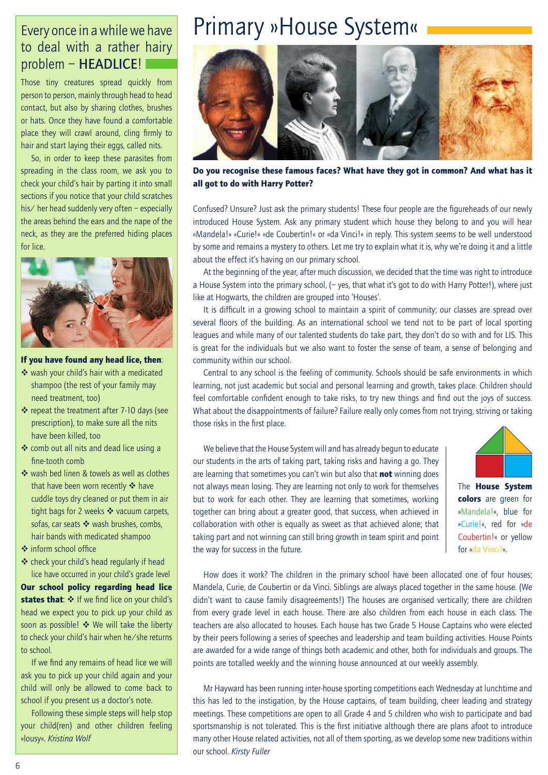### Every once in a while we have to deal with a rather hairy problem – HEADLICE!

Those tiny creatures spread quickly from person to person, mainly through head to head contact, but also by sharing clothes, brushes or hats. Once they have found a comfortable place they will crawl around, cling firmly to hair and start laying their eggs, called nits.

So, in order to keep these parasites from spreading in the class room, we ask you to check your child's hair by parting it into small sections if you notice that your child scratches his/ her head suddenly very often – especially the areas behind the ears and the nape of the neck, as they are the preferred hiding places for lice.



### If you have found any head lice, then:

- ❖ wash your child's hair with a medicated shampoo (the rest of your family may need treatment, too)
- $\div$  repeat the treatment after 7-10 days (see prescription), to make sure all the nits have been killed, too
- v comb out all nits and dead lice using a fine-tooth comb
- $\cdot$  wash bed linen & towels as well as clothes that have been worn recently  $\clubsuit$  have cuddle toys dry cleaned or put them in air tight bags for 2 weeks  $\cdot \cdot$  vacuum carpets. sofas, car seats  $\clubsuit$  wash brushes, combs, hair bands with medicated shampoo
- v inform school office
- $\triangleq$  check your child's head regularly if head lice have occurred in your child's grade level

Our school policy regarding head lice states that:  $\div$  If we find lice on your child's head we expect you to pick up your child as soon as possible!  $\triangle$  We will take the liberty to check your child's hair when he/she returns to school.

If we find any remains of head lice we will ask you to pick up your child again and your child will only be allowed to come back to school if you present us a doctor's note.

Following these simple steps will help stop your child(ren) and other children feeling »lousy«. *Kristina Wolf*

## Primary »House System«



Do you recognise these famous faces? What have they got in common? And what has it all got to do with Harry Potter?

Confused? Unsure? Just ask the primary students! These four people are the figureheads of our newly introduced House System. Ask any primary student which house they belong to and you will hear «Mandela!« «Curie!« «de Coubertin!« or «da Vinci!« in reply. This system seems to be well understood by some and remains a mystery to others. Let me try to explain what it is, why we're doing it and a little about the effect it's having on our primary school.

At the beginning of the year, after much discussion, we decided that the time was right to introduce a House System into the primary school, (– yes, that what it's got to do with Harry Potter!), where just like at Hogwarts, the children are grouped into 'Houses'.

It is difficult in a growing school to maintain a spirit of community; our classes are spread over several floors of the building. As an international school we tend not to be part of local sporting leagues and while many of our talented students do take part, they don't do so with and for LIS. This is great for the individuals but we also want to foster the sense of team, a sense of belonging and community within our school.

Central to any school is the feeling of community. Schools should be safe environments in which learning, not just academic but social and personal learning and growth, takes place. Children should feel comfortable confident enough to take risks, to try new things and find out the joys of success. What about the disappointments of failure? Failure really only comes from not trying, striving or taking those risks in the first place.

We believe that the House System will and has already begun to educate our students in the arts of taking part, taking risks and having a go. They are learning that sometimes you can't win but also that not winning does not always mean losing. They are learning not only to work for themselves but to work for each other. They are learning that sometimes, working together can bring about a greater good, that success, when achieved in collaboration with other is equally as sweet as that achieved alone; that taking part and not winning can still bring growth in team spirit and point the way for success in the future.



The House System colors are green for »Mandela!«, blue for »Curie!«, red for »de Coubertin!« or yellow for »da Vinci!«.

How does it work? The children in the primary school have been allocated one of four houses; Mandela, Curie, de Coubertin or da Vinci. Siblings are always placed together in the same house. (We didn't want to cause family disagreements!) The houses are organised vertically; there are children from every grade level in each house. There are also children from each house in each class. The teachers are also allocated to houses. Each house has two Grade 5 House Captains who were elected by their peers following a series of speeches and leadership and team building activities. House Points are awarded for a wide range of things both academic and other, both for individuals and groups. The points are totalled weekly and the winning house announced at our weekly assembly.

Mr Hayward has been running inter-house sporting competitions each Wednesday at lunchtime and this has led to the instigation, by the House captains, of team building, cheer leading and strategy meetings. These competitions are open to all Grade 4 and 5 children who wish to participate and bad sportsmanship is not tolerated. This is the first initiative although there are plans afoot to introduce many other House related activities, not all of them sporting, as we develop some new traditions within our school. *Kirsty Fuller*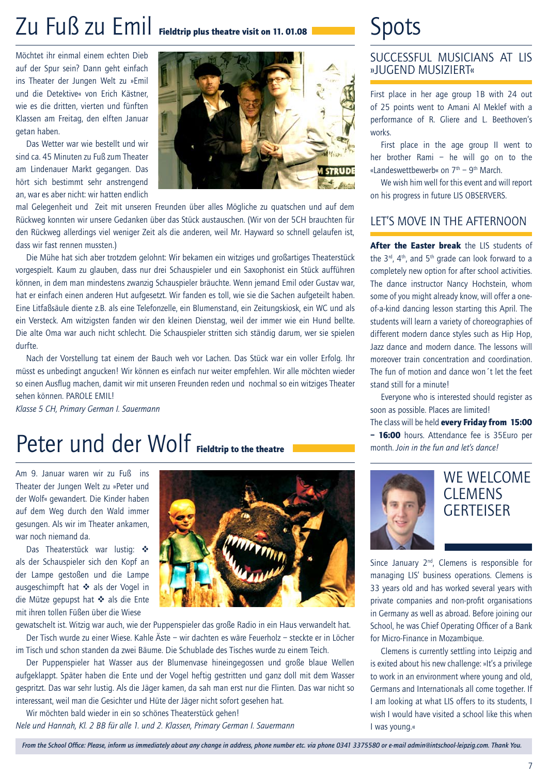# Zu Fuß zu Emil Fieldtrip plus theatre visit on 11. 01.08

Möchtet ihr einmal einem echten Dieb auf der Spur sein? Dann geht einfach ins Theater der Jungen Welt zu »Emil und die Detektive« von Erich Kästner, wie es die dritten, vierten und fünften Klassen am Freitag, den elften Januar getan haben.

Das Wetter war wie bestellt und wir sind ca. 45 Minuten zu Fuß zum Theater am Lindenauer Markt gegangen. Das hört sich bestimmt sehr anstrengend an, war es aber nicht: wir hatten endlich



mal Gelegenheit und Zeit mit unseren Freunden über alles Mögliche zu quatschen und auf dem Rückweg konnten wir unsere Gedanken über das Stück austauschen. (Wir von der 5CH brauchten für den Rückweg allerdings viel weniger Zeit als die anderen, weil Mr. Hayward so schnell gelaufen ist, dass wir fast rennen mussten.)

Die Mühe hat sich aber trotzdem gelohnt: Wir bekamen ein witziges und großartiges Theaterstück vorgespielt. Kaum zu glauben, dass nur drei Schauspieler und ein Saxophonist ein Stück aufführen können, in dem man mindestens zwanzig Schauspieler bräuchte. Wenn jemand Emil oder Gustav war, hat er einfach einen anderen Hut aufgesetzt. Wir fanden es toll, wie sie die Sachen aufgeteilt haben. Eine Litfaßsäule diente z.B. als eine Telefonzelle, ein Blumenstand, ein Zeitungskiosk, ein WC und als ein Versteck. Am witzigsten fanden wir den kleinen Dienstag, weil der immer wie ein Hund bellte. Die alte Oma war auch nicht schlecht. Die Schauspieler stritten sich ständig darum, wer sie spielen durfte.

Nach der Vorstellung tat einem der Bauch weh vor Lachen. Das Stück war ein voller Erfolg. Ihr müsst es unbedingt angucken! Wir können es einfach nur weiter empfehlen. Wir alle möchten wieder so einen Ausflug machen, damit wir mit unseren Freunden reden und nochmal so ein witziges Theater sehen können. PAROLE EMIL!

*Klasse 5 CH, Primary German I. Sauermann*

# Peter und der Wolf Fieldtrip to the theatre

Am 9. Januar waren wir zu Fuß ins Theater der Jungen Welt zu »Peter und der Wolf« gewandert. Die Kinder haben auf dem Weg durch den Wald immer gesungen. Als wir im Theater ankamen, war noch niemand da.

Das Theaterstück war lustig: ❖ als der Schauspieler sich den Kopf an der Lampe gestoßen und die Lampe ausgeschimpft hat  $\div$  als der Vogel in die Mütze gepupst hat ❖ als die Ente mit ihren tollen Füßen über die Wiese



gewatschelt ist. Witzig war auch, wie der Puppenspieler das große Radio in ein Haus verwandelt hat. Der Tisch wurde zu einer Wiese. Kahle Äste – wir dachten es wäre Feuerholz – steckte er in Löcher im Tisch und schon standen da zwei Bäume. Die Schublade des Tisches wurde zu einem Teich.

Der Puppenspieler hat Wasser aus der Blumenvase hineingegossen und große blaue Wellen aufgeklappt. Später haben die Ente und der Vogel heftig gestritten und ganz doll mit dem Wasser gespritzt. Das war sehr lustig. Als die Jäger kamen, da sah man erst nur die Flinten. Das war nicht so interessant, weil man die Gesichter und Hüte der Jäger nicht sofort gesehen hat.

Wir möchten bald wieder in ein so schönes Theaterstück gehen! *Nele und Hannah, Kl. 2 BB für alle 1. und 2. Klassen, Primary German I. Sauermann*

# Spots

### SUCCESSFUL MUSICIANS AT LIS »Jugend musiziert«

First place in her age group 1B with 24 out of 25 points went to Amani Al Meklef with a performance of R. Gliere and L. Beethoven's works.

First place in the age group II went to her brother Rami – he will go on to the «Landeswettbewerb« on  $7<sup>th</sup>$  – 9<sup>th</sup> March.

We wish him well for this event and will report on his progress in future LIS OBSERVERS.

### Let's move in the afternoon

After the Easter break the LIS students of the  $3<sup>rd</sup>$ ,  $4<sup>th</sup>$ , and  $5<sup>th</sup>$  grade can look forward to a completely new option for after school activities. The dance instructor Nancy Hochstein, whom some of you might already know, will offer a oneof-a-kind dancing lesson starting this April. The students will learn a variety of choreographies of different modern dance styles such as Hip Hop, Jazz dance and modern dance. The lessons will moreover train concentration and coordination. The fun of motion and dance won´t let the feet stand still for a minute!

Everyone who is interested should register as soon as possible. Places are limited!

The class will be held every Friday from 15:00 - 16:00 hours. Attendance fee is 35Euro per month. *Join in the fun and let's dance!*



### WE WELCOME **CLEMENS GERTEISER**

Since January  $2<sup>nd</sup>$ , Clemens is responsible for managing LIS' business operations. Clemens is 33 years old and has worked several years with private companies and non-profit organisations in Germany as well as abroad. Before joining our School, he was Chief Operating Officer of a Bank for Micro-Finance in Mozambique.

Clemens is currently settling into Leipzig and is exited about his new challenge: »It's a privilege to work in an environment where young and old, Germans and Internationals all come together. If I am looking at what LIS offers to its students, I wish I would have visited a school like this when I was young.«

*From the School Office: Please, inform us immediately about any change in address, phone number etc. via phone 0341 3375580 or e-mail admin@intschool-leipzig.com. Thank You.*